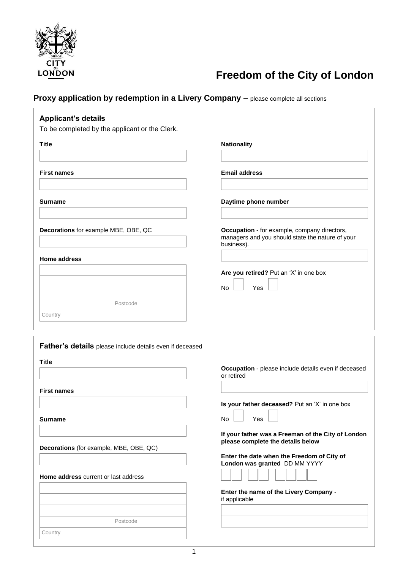

## **Freedom of the City of London**

**Proxy application by redemption in a Livery Company** – please complete all sections

| <b>Applicant's details</b><br>To be completed by the applicant or the Clerk. |                                                                                                                |
|------------------------------------------------------------------------------|----------------------------------------------------------------------------------------------------------------|
| <b>Title</b>                                                                 | <b>Nationality</b>                                                                                             |
| <b>First names</b>                                                           | <b>Email address</b>                                                                                           |
| Surname                                                                      | Daytime phone number                                                                                           |
|                                                                              |                                                                                                                |
| Decorations for example MBE, OBE, QC                                         | Occupation - for example, company directors,<br>managers and you should state the nature of your<br>business). |
| <b>Home address</b>                                                          |                                                                                                                |
|                                                                              | Are you retired? Put an 'X' in one box<br><b>No</b><br>Yes                                                     |
| Postcode                                                                     |                                                                                                                |
| Country                                                                      |                                                                                                                |
| Father's details please include details even if deceased<br><b>Title</b>     | Occupation - please include details even if deceased<br>or retired                                             |
| First names                                                                  | Is your father deceased? Put an 'X' in one box                                                                 |
| <b>Surname</b>                                                               | Yes<br>No                                                                                                      |
| Decorations (for example, MBE, OBE, QC)                                      | If your father was a Freeman of the City of London<br>please complete the details below                        |
| Home address current or last address                                         | Enter the date when the Freedom of City of<br>London was granted DD MM YYYY                                    |
|                                                                              | Enter the name of the Livery Company -<br>if applicable                                                        |
| Postcode                                                                     |                                                                                                                |
| Country                                                                      |                                                                                                                |